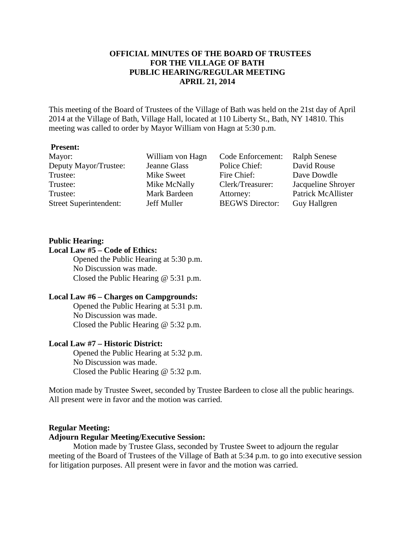## **OFFICIAL MINUTES OF THE BOARD OF TRUSTEES FOR THE VILLAGE OF BATH PUBLIC HEARING/REGULAR MEETING APRIL 21, 2014**

This meeting of the Board of Trustees of the Village of Bath was held on the 21st day of April 2014 at the Village of Bath, Village Hall, located at 110 Liberty St., Bath, NY 14810. This meeting was called to order by Mayor William von Hagn at 5:30 p.m.

### **Present:**

| David Rouse<br>Deputy Mayor/Trustee:<br>Police Chief:<br>Jeanne Glass                         |  |
|-----------------------------------------------------------------------------------------------|--|
| Mike Sweet<br>Trustee:<br>Dave Dowdle<br>Fire Chief:                                          |  |
| Mike McNally<br>Jacqueline Shroyer<br>Trustee:<br>Clerk/Treasurer:                            |  |
| Patrick McAllister<br>Mark Bardeen<br>Trustee:<br>Attorney:                                   |  |
| <b>BEGWS</b> Director:<br>Jeff Muller<br><b>Street Superintendent:</b><br><b>Guy Hallgren</b> |  |

### **Public Hearing:**

## **Local Law #5 – Code of Ethics:**

Opened the Public Hearing at 5:30 p.m. No Discussion was made. Closed the Public Hearing @ 5:31 p.m.

#### **Local Law #6 – Charges on Campgrounds:**

Opened the Public Hearing at 5:31 p.m. No Discussion was made. Closed the Public Hearing @ 5:32 p.m.

### **Local Law #7 – Historic District:**

Opened the Public Hearing at 5:32 p.m. No Discussion was made. Closed the Public Hearing @ 5:32 p.m.

Motion made by Trustee Sweet, seconded by Trustee Bardeen to close all the public hearings. All present were in favor and the motion was carried.

#### **Regular Meeting:**

## **Adjourn Regular Meeting/Executive Session:**

Motion made by Trustee Glass, seconded by Trustee Sweet to adjourn the regular meeting of the Board of Trustees of the Village of Bath at 5:34 p.m. to go into executive session for litigation purposes. All present were in favor and the motion was carried.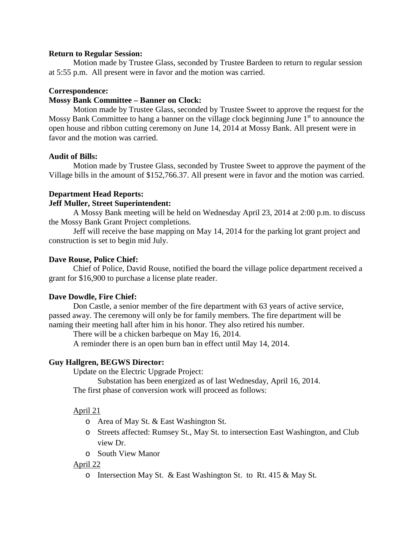## **Return to Regular Session:**

Motion made by Trustee Glass, seconded by Trustee Bardeen to return to regular session at 5:55 p.m. All present were in favor and the motion was carried.

## **Correspondence:**

## **Mossy Bank Committee – Banner on Clock:**

 Motion made by Trustee Glass, seconded by Trustee Sweet to approve the request for the Mossy Bank Committee to hang a banner on the village clock beginning June  $1<sup>st</sup>$  to announce the open house and ribbon cutting ceremony on June 14, 2014 at Mossy Bank. All present were in favor and the motion was carried.

## **Audit of Bills:**

Motion made by Trustee Glass, seconded by Trustee Sweet to approve the payment of the Village bills in the amount of \$152,766.37. All present were in favor and the motion was carried.

## **Department Head Reports:**

## **Jeff Muller, Street Superintendent:**

A Mossy Bank meeting will be held on Wednesday April 23, 2014 at 2:00 p.m. to discuss the Mossy Bank Grant Project completions.

 Jeff will receive the base mapping on May 14, 2014 for the parking lot grant project and construction is set to begin mid July.

## **Dave Rouse, Police Chief:**

Chief of Police, David Rouse, notified the board the village police department received a grant for \$16,900 to purchase a license plate reader.

## **Dave Dowdle, Fire Chief:**

Don Castle, a senior member of the fire department with 63 years of active service, passed away. The ceremony will only be for family members. The fire department will be naming their meeting hall after him in his honor. They also retired his number.

There will be a chicken barbeque on May 16, 2014.

A reminder there is an open burn ban in effect until May 14, 2014.

## **Guy Hallgren, BEGWS Director:**

Update on the Electric Upgrade Project:

 Substation has been energized as of last Wednesday, April 16, 2014. The first phase of conversion work will proceed as follows:

## April 21

- o Area of May St. & East Washington St.
- o Streets affected: Rumsey St., May St. to intersection East Washington, and Club view Dr.
- o South View Manor

## April 22

o Intersection May St. & East Washington St. to Rt. 415 & May St.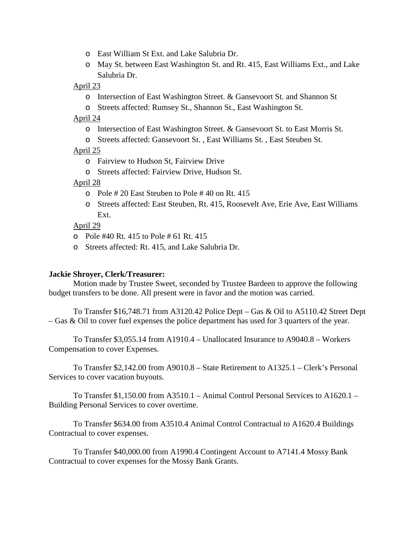- o East William St Ext. and Lake Salubria Dr.
- o May St. between East Washington St. and Rt. 415, East Williams Ext., and Lake Salubria Dr.

April 23

- o Intersection of East Washington Street. & Gansevoort St. and Shannon St
- o Streets affected: Rumsey St., Shannon St., East Washington St.

April 24

- o Intersection of East Washington Street. & Gansevoort St. to East Morris St.
- o Streets affected: Gansevoort St. , East Williams St. , East Steuben St.

April 25

- o Fairview to Hudson St, Fairview Drive
- o Streets affected: Fairview Drive, Hudson St.

## April 28

- o Pole # 20 East Steuben to Pole # 40 on Rt. 415
- o Streets affected: East Steuben, Rt. 415, Roosevelt Ave, Erie Ave, East Williams Ext.

April 29

- o Pole #40 Rt. 415 to Pole # 61 Rt. 415
- o Streets affected: Rt. 415, and Lake Salubria Dr.

### **Jackie Shroyer, Clerk/Treasurer:**

Motion made by Trustee Sweet, seconded by Trustee Bardeen to approve the following budget transfers to be done. All present were in favor and the motion was carried.

To Transfer \$16,748.71 from A3120.42 Police Dept – Gas & Oil to A5110.42 Street Dept – Gas & Oil to cover fuel expenses the police department has used for 3 quarters of the year.

To Transfer \$3,055.14 from A1910.4 – Unallocated Insurance to A9040.8 – Workers Compensation to cover Expenses.

To Transfer \$2,142.00 from A9010.8 – State Retirement to A1325.1 – Clerk's Personal Services to cover vacation buyouts.

To Transfer \$1,150.00 from A3510.1 – Animal Control Personal Services to A1620.1 – Building Personal Services to cover overtime.

To Transfer \$634.00 from A3510.4 Animal Control Contractual to A1620.4 Buildings Contractual to cover expenses.

To Transfer \$40,000.00 from A1990.4 Contingent Account to A7141.4 Mossy Bank Contractual to cover expenses for the Mossy Bank Grants.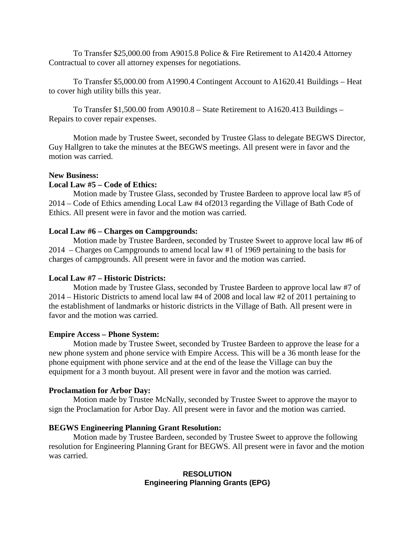To Transfer \$25,000.00 from A9015.8 Police & Fire Retirement to A1420.4 Attorney Contractual to cover all attorney expenses for negotiations.

To Transfer \$5,000.00 from A1990.4 Contingent Account to A1620.41 Buildings – Heat to cover high utility bills this year.

To Transfer \$1,500.00 from A9010.8 – State Retirement to A1620.413 Buildings – Repairs to cover repair expenses.

Motion made by Trustee Sweet, seconded by Trustee Glass to delegate BEGWS Director, Guy Hallgren to take the minutes at the BEGWS meetings. All present were in favor and the motion was carried.

## **New Business:**

## **Local Law #5 – Code of Ethics:**

 Motion made by Trustee Glass, seconded by Trustee Bardeen to approve local law #5 of 2014 – Code of Ethics amending Local Law #4 of2013 regarding the Village of Bath Code of Ethics. All present were in favor and the motion was carried.

## **Local Law #6 – Charges on Campgrounds:**

Motion made by Trustee Bardeen, seconded by Trustee Sweet to approve local law #6 of 2014 – Charges on Campgrounds to amend local law #1 of 1969 pertaining to the basis for charges of campgrounds. All present were in favor and the motion was carried.

## **Local Law #7 – Historic Districts:**

Motion made by Trustee Glass, seconded by Trustee Bardeen to approve local law #7 of 2014 – Historic Districts to amend local law #4 of 2008 and local law #2 of 2011 pertaining to the establishment of landmarks or historic districts in the Village of Bath. All present were in favor and the motion was carried.

## **Empire Access – Phone System:**

 Motion made by Trustee Sweet, seconded by Trustee Bardeen to approve the lease for a new phone system and phone service with Empire Access. This will be a 36 month lease for the phone equipment with phone service and at the end of the lease the Village can buy the equipment for a 3 month buyout. All present were in favor and the motion was carried.

### **Proclamation for Arbor Day:**

Motion made by Trustee McNally, seconded by Trustee Sweet to approve the mayor to sign the Proclamation for Arbor Day. All present were in favor and the motion was carried.

## **BEGWS Engineering Planning Grant Resolution:**

 Motion made by Trustee Bardeen, seconded by Trustee Sweet to approve the following resolution for Engineering Planning Grant for BEGWS. All present were in favor and the motion was carried.

## **RESOLUTION Engineering Planning Grants (EPG)**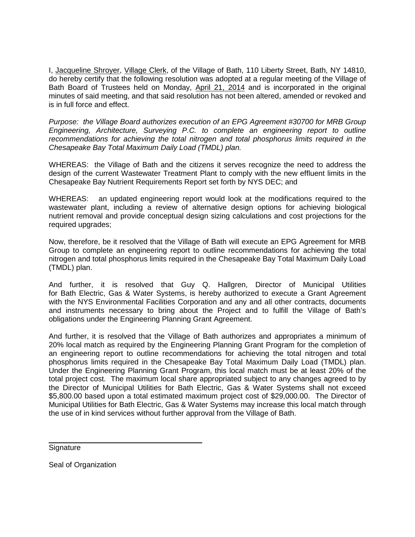I, Jacqueline Shroyer, Village Clerk, of the Village of Bath, 110 Liberty Street, Bath, NY 14810, do hereby certify that the following resolution was adopted at a regular meeting of the Village of Bath Board of Trustees held on Monday, April 21, 2014 and is incorporated in the original minutes of said meeting, and that said resolution has not been altered, amended or revoked and is in full force and effect.

Purpose: the Village Board authorizes execution of an EPG Agreement #30700 for MRB Group Engineering, Architecture, Surveying P.C. to complete an engineering report to outline recommendations for achieving the total nitrogen and total phosphorus limits required in the Chesapeake Bay Total Maximum Daily Load (TMDL) plan.

WHEREAS: the Village of Bath and the citizens it serves recognize the need to address the design of the current Wastewater Treatment Plant to comply with the new effluent limits in the Chesapeake Bay Nutrient Requirements Report set forth by NYS DEC; and

WHEREAS: an updated engineering report would look at the modifications required to the wastewater plant, including a review of alternative design options for achieving biological nutrient removal and provide conceptual design sizing calculations and cost projections for the required upgrades;

Now, therefore, be it resolved that the Village of Bath will execute an EPG Agreement for MRB Group to complete an engineering report to outline recommendations for achieving the total nitrogen and total phosphorus limits required in the Chesapeake Bay Total Maximum Daily Load (TMDL) plan.

And further, it is resolved that Guy Q. Hallgren, Director of Municipal Utilities for Bath Electric, Gas & Water Systems, is hereby authorized to execute a Grant Agreement with the NYS Environmental Facilities Corporation and any and all other contracts, documents and instruments necessary to bring about the Project and to fulfill the Village of Bath's obligations under the Engineering Planning Grant Agreement.

And further, it is resolved that the Village of Bath authorizes and appropriates a minimum of 20% local match as required by the Engineering Planning Grant Program for the completion of an engineering report to outline recommendations for achieving the total nitrogen and total phosphorus limits required in the Chesapeake Bay Total Maximum Daily Load (TMDL) plan. Under the Engineering Planning Grant Program, this local match must be at least 20% of the total project cost. The maximum local share appropriated subject to any changes agreed to by the Director of Municipal Utilities for Bath Electric, Gas & Water Systems shall not exceed \$5,800.00 based upon a total estimated maximum project cost of \$29,000.00. The Director of Municipal Utilities for Bath Electric, Gas & Water Systems may increase this local match through the use of in kind services without further approval from the Village of Bath.

**Signature** 

Seal of Organization

\_\_\_\_\_\_\_\_\_\_\_\_\_\_\_\_\_\_\_\_\_\_\_\_\_\_\_\_\_\_\_\_\_\_\_\_\_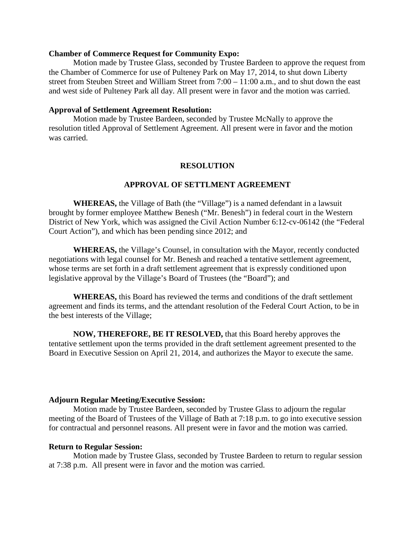### **Chamber of Commerce Request for Community Expo:**

 Motion made by Trustee Glass, seconded by Trustee Bardeen to approve the request from the Chamber of Commerce for use of Pulteney Park on May 17, 2014, to shut down Liberty street from Steuben Street and William Street from 7:00 – 11:00 a.m., and to shut down the east and west side of Pulteney Park all day. All present were in favor and the motion was carried.

### **Approval of Settlement Agreement Resolution:**

 Motion made by Trustee Bardeen, seconded by Trustee McNally to approve the resolution titled Approval of Settlement Agreement. All present were in favor and the motion was carried.

### **RESOLUTION**

## **APPROVAL OF SETTLMENT AGREEMENT**

**WHEREAS,** the Village of Bath (the "Village") is a named defendant in a lawsuit brought by former employee Matthew Benesh ("Mr. Benesh") in federal court in the Western District of New York, which was assigned the Civil Action Number 6:12-cv-06142 (the "Federal Court Action"), and which has been pending since 2012; and

**WHEREAS,** the Village's Counsel, in consultation with the Mayor, recently conducted negotiations with legal counsel for Mr. Benesh and reached a tentative settlement agreement, whose terms are set forth in a draft settlement agreement that is expressly conditioned upon legislative approval by the Village's Board of Trustees (the "Board"); and

**WHEREAS,** this Board has reviewed the terms and conditions of the draft settlement agreement and finds its terms, and the attendant resolution of the Federal Court Action, to be in the best interests of the Village;

**NOW, THEREFORE, BE IT RESOLVED,** that this Board hereby approves the tentative settlement upon the terms provided in the draft settlement agreement presented to the Board in Executive Session on April 21, 2014, and authorizes the Mayor to execute the same.

### **Adjourn Regular Meeting/Executive Session:**

Motion made by Trustee Bardeen, seconded by Trustee Glass to adjourn the regular meeting of the Board of Trustees of the Village of Bath at 7:18 p.m. to go into executive session for contractual and personnel reasons. All present were in favor and the motion was carried.

### **Return to Regular Session:**

Motion made by Trustee Glass, seconded by Trustee Bardeen to return to regular session at 7:38 p.m. All present were in favor and the motion was carried.